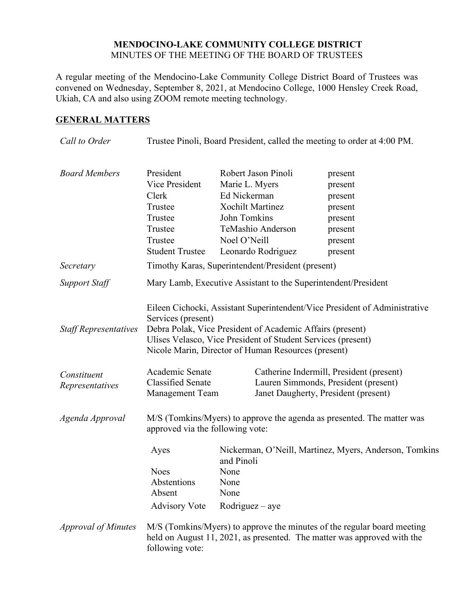## **MENDOCINO-LAKE COMMUNITY COLLEGE DISTRICT** MINUTES OF THE MEETING OF THE BOARD OF TRUSTEES

A regular meeting of the Mendocino-Lake Community College District Board of Trustees was convened on Wednesday, September 8, 2021, at Mendocino College, 1000 Hensley Creek Road, Ukiah, CA and also using ZOOM remote meeting technology.

# **GENERAL MATTERS**

| Call to Order                  | Trustee Pinoli, Board President, called the meeting to order at 4:00 PM.                                                                                                                                                                                                             |                                                                                                                  |                                                                                                                          |                                                                                                                                                    |  |
|--------------------------------|--------------------------------------------------------------------------------------------------------------------------------------------------------------------------------------------------------------------------------------------------------------------------------------|------------------------------------------------------------------------------------------------------------------|--------------------------------------------------------------------------------------------------------------------------|----------------------------------------------------------------------------------------------------------------------------------------------------|--|
| <b>Board Members</b>           | President<br>Vice President<br>Clerk<br>Trustee<br>Trustee<br>Trustee<br>Trustee<br><b>Student Trustee</b>                                                                                                                                                                           | Robert Jason Pinoli<br>Marie L. Myers<br>Ed Nickerman<br><b>Xochilt Martinez</b><br>John Tomkins<br>Noel O'Neill | TeMashio Anderson<br>Leonardo Rodriguez                                                                                  | present<br>present<br>present<br>present<br>present<br>present<br>present<br>present                                                               |  |
| Secretary                      | Timothy Karas, Superintendent/President (present)                                                                                                                                                                                                                                    |                                                                                                                  |                                                                                                                          |                                                                                                                                                    |  |
| <b>Support Staff</b>           | Mary Lamb, Executive Assistant to the Superintendent/President                                                                                                                                                                                                                       |                                                                                                                  |                                                                                                                          |                                                                                                                                                    |  |
| <b>Staff Representatives</b>   | Eileen Cichocki, Assistant Superintendent/Vice President of Administrative<br>Services (present)<br>Debra Polak, Vice President of Academic Affairs (present)<br>Ulises Velasco, Vice President of Student Services (present)<br>Nicole Marin, Director of Human Resources (present) |                                                                                                                  |                                                                                                                          |                                                                                                                                                    |  |
| Constituent<br>Representatives | Academic Senate<br><b>Classified Senate</b><br><b>Management Team</b>                                                                                                                                                                                                                |                                                                                                                  | Catherine Indermill, President (present)<br>Lauren Simmonds, President (present)<br>Janet Daugherty, President (present) |                                                                                                                                                    |  |
| Agenda Approval                | M/S (Tomkins/Myers) to approve the agenda as presented. The matter was<br>approved via the following vote:                                                                                                                                                                           |                                                                                                                  |                                                                                                                          |                                                                                                                                                    |  |
|                                | Ayes<br><b>Noes</b><br>Abstentions<br>Absent<br><b>Advisory Vote</b>                                                                                                                                                                                                                 | and Pinoli<br>None<br>None<br>None<br>$Rodriguez - aye$                                                          |                                                                                                                          | Nickerman, O'Neill, Martinez, Myers, Anderson, Tomkins                                                                                             |  |
| <b>Approval of Minutes</b>     | following vote:                                                                                                                                                                                                                                                                      |                                                                                                                  |                                                                                                                          | M/S (Tomkins/Myers) to approve the minutes of the regular board meeting<br>held on August 11, 2021, as presented. The matter was approved with the |  |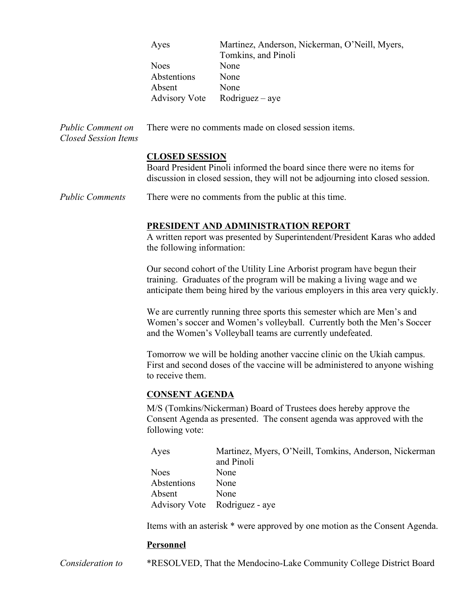|                                                  | Ayes                                                                                                                                                                                                            | Martinez, Anderson, Nickerman, O'Neill, Myers,<br>Tomkins, and Pinoli |  |  |  |
|--------------------------------------------------|-----------------------------------------------------------------------------------------------------------------------------------------------------------------------------------------------------------------|-----------------------------------------------------------------------|--|--|--|
|                                                  | <b>Noes</b>                                                                                                                                                                                                     | None                                                                  |  |  |  |
|                                                  | Abstentions                                                                                                                                                                                                     | None                                                                  |  |  |  |
|                                                  | Absent                                                                                                                                                                                                          | None                                                                  |  |  |  |
|                                                  | <b>Advisory Vote</b>                                                                                                                                                                                            | $Rodriguez - aye$                                                     |  |  |  |
| Public Comment on<br><b>Closed Session Items</b> | There were no comments made on closed session items.                                                                                                                                                            |                                                                       |  |  |  |
|                                                  | <b>CLOSED SESSION</b>                                                                                                                                                                                           |                                                                       |  |  |  |
|                                                  | Board President Pinoli informed the board since there were no items for                                                                                                                                         |                                                                       |  |  |  |
|                                                  | discussion in closed session, they will not be adjourning into closed session.                                                                                                                                  |                                                                       |  |  |  |
| <b>Public Comments</b>                           | There were no comments from the public at this time.                                                                                                                                                            |                                                                       |  |  |  |
|                                                  | PRESIDENT AND ADMINISTRATION REPORT                                                                                                                                                                             |                                                                       |  |  |  |
|                                                  | A written report was presented by Superintendent/President Karas who added<br>the following information:                                                                                                        |                                                                       |  |  |  |
|                                                  | Our second cohort of the Utility Line Arborist program have begun their                                                                                                                                         |                                                                       |  |  |  |
|                                                  | training. Graduates of the program will be making a living wage and we<br>anticipate them being hired by the various employers in this area very quickly.                                                       |                                                                       |  |  |  |
|                                                  | We are currently running three sports this semester which are Men's and<br>Women's soccer and Women's volleyball. Currently both the Men's Soccer<br>and the Women's Volleyball teams are currently undefeated. |                                                                       |  |  |  |
|                                                  | Tomorrow we will be holding another vaccine clinic on the Ukiah campus.<br>First and second doses of the vaccine will be administered to anyone wishing<br>to receive them.                                     |                                                                       |  |  |  |
|                                                  | <b>CONSENT AGENDA</b>                                                                                                                                                                                           |                                                                       |  |  |  |
|                                                  | M/S (Tomkins/Nickerman) Board of Trustees does hereby approve the<br>Consent Agenda as presented. The consent agenda was approved with the<br>following vote:                                                   |                                                                       |  |  |  |
|                                                  | Ayes                                                                                                                                                                                                            | Martinez, Myers, O'Neill, Tomkins, Anderson, Nickerman<br>and Pinoli  |  |  |  |
|                                                  | <b>Noes</b>                                                                                                                                                                                                     | None                                                                  |  |  |  |
|                                                  | Abstentions                                                                                                                                                                                                     | None                                                                  |  |  |  |
|                                                  | Absent                                                                                                                                                                                                          | None                                                                  |  |  |  |
|                                                  | <b>Advisory Vote</b>                                                                                                                                                                                            | Rodriguez - aye                                                       |  |  |  |
|                                                  | Items with an asterisk * were approved by one motion as the Consent Agenda.                                                                                                                                     |                                                                       |  |  |  |
|                                                  | <b>Personnel</b>                                                                                                                                                                                                |                                                                       |  |  |  |
| Consideration to                                 |                                                                                                                                                                                                                 | *RESOLVED, That the Mendocino-Lake Community College District Board   |  |  |  |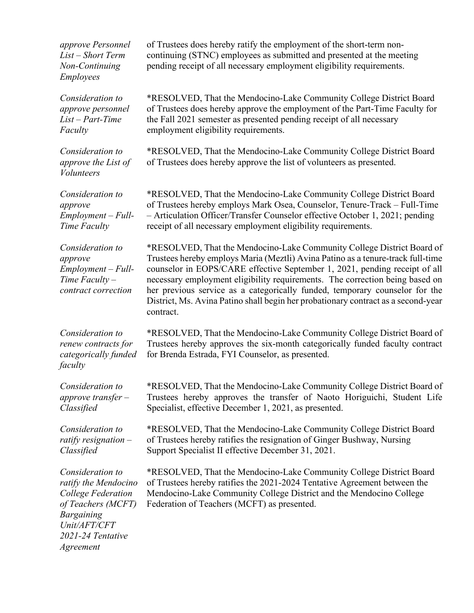*approve Personnel List – Short Term Non-Continuing Employees*

*Consideration to approve personnel List – Part-Time Faculty*

*Consideration to approve the List of Volunteers*

*Consideration to approve Employment – Full-Time Faculty*

*Consideration to approve Employment – Full-Time Faculty – contract correction*

*Consideration to renew contracts for categorically funded faculty*

*Consideration to approve transfer – Classified*

*Consideration to ratify resignation – Classified*

*Consideration to ratify the Mendocino College Federation of Teachers (MCFT) Bargaining Unit/AFT/CFT 2021-24 Tentative Agreement*

of Trustees does hereby ratify the employment of the short-term noncontinuing (STNC) employees as submitted and presented at the meeting pending receipt of all necessary employment eligibility requirements.

\*RESOLVED, That the Mendocino-Lake Community College District Board of Trustees does hereby approve the employment of the Part-Time Faculty for the Fall 2021 semester as presented pending receipt of all necessary employment eligibility requirements.

\*RESOLVED, That the Mendocino-Lake Community College District Board of Trustees does hereby approve the list of volunteers as presented.

\*RESOLVED, That the Mendocino-Lake Community College District Board of Trustees hereby employs Mark Osea, Counselor, Tenure-Track – Full-Time – Articulation Officer/Transfer Counselor effective October 1, 2021; pending receipt of all necessary employment eligibility requirements.

\*RESOLVED, That the Mendocino-Lake Community College District Board of Trustees hereby employs Maria (Meztli) Avina Patino as a tenure-track full-time counselor in EOPS/CARE effective September 1, 2021, pending receipt of all necessary employment eligibility requirements. The correction being based on her previous service as a categorically funded, temporary counselor for the District, Ms. Avina Patino shall begin her probationary contract as a second-year contract.

\*RESOLVED, That the Mendocino-Lake Community College District Board of Trustees hereby approves the six-month categorically funded faculty contract for Brenda Estrada, FYI Counselor, as presented.

\*RESOLVED, That the Mendocino-Lake Community College District Board of Trustees hereby approves the transfer of Naoto Horiguichi, Student Life Specialist, effective December 1, 2021, as presented.

\*RESOLVED, That the Mendocino-Lake Community College District Board of Trustees hereby ratifies the resignation of Ginger Bushway, Nursing Support Specialist II effective December 31, 2021.

\*RESOLVED, That the Mendocino-Lake Community College District Board of Trustees hereby ratifies the 2021-2024 Tentative Agreement between the Mendocino-Lake Community College District and the Mendocino College Federation of Teachers (MCFT) as presented.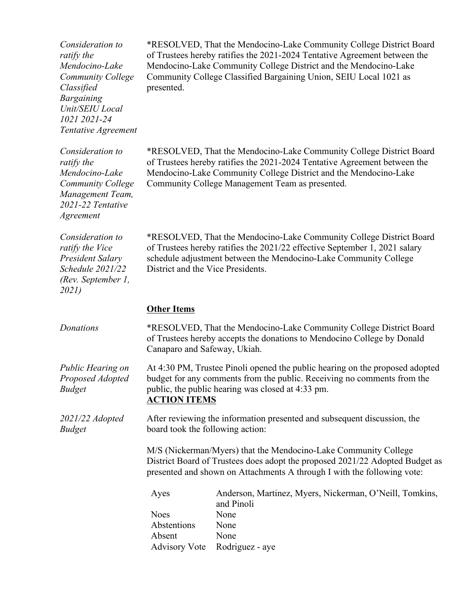| Consideration to<br>ratify the<br>Mendocino-Lake<br><b>Community College</b><br>Classified<br><b>Bargaining</b><br>Unit/SEIU Local<br>1021 2021-24<br>Tentative Agreement | presented.                                                                                                                                                                                                                                                              | *RESOLVED, That the Mendocino-Lake Community College District Board<br>of Trustees hereby ratifies the 2021-2024 Tentative Agreement between the<br>Mendocino-Lake Community College District and the Mendocino-Lake<br>Community College Classified Bargaining Union, SEIU Local 1021 as |  |
|---------------------------------------------------------------------------------------------------------------------------------------------------------------------------|-------------------------------------------------------------------------------------------------------------------------------------------------------------------------------------------------------------------------------------------------------------------------|-------------------------------------------------------------------------------------------------------------------------------------------------------------------------------------------------------------------------------------------------------------------------------------------|--|
| Consideration to<br>ratify the<br>Mendocino-Lake<br><b>Community College</b><br>Management Team,<br>2021-22 Tentative<br>Agreement                                        | *RESOLVED, That the Mendocino-Lake Community College District Board<br>of Trustees hereby ratifies the 2021-2024 Tentative Agreement between the<br>Mendocino-Lake Community College District and the Mendocino-Lake<br>Community College Management Team as presented. |                                                                                                                                                                                                                                                                                           |  |
| Consideration to<br>ratify the Vice<br>President Salary<br>Schedule 2021/22<br>(Rev. September 1,<br>2021)                                                                | *RESOLVED, That the Mendocino-Lake Community College District Board<br>of Trustees hereby ratifies the 2021/22 effective September 1, 2021 salary<br>schedule adjustment between the Mendocino-Lake Community College<br>District and the Vice Presidents.              |                                                                                                                                                                                                                                                                                           |  |
|                                                                                                                                                                           | <b>Other Items</b>                                                                                                                                                                                                                                                      |                                                                                                                                                                                                                                                                                           |  |
| Donations                                                                                                                                                                 | *RESOLVED, That the Mendocino-Lake Community College District Board<br>of Trustees hereby accepts the donations to Mendocino College by Donald<br>Canaparo and Safeway, Ukiah.                                                                                          |                                                                                                                                                                                                                                                                                           |  |
| Public Hearing on<br>Proposed Adopted<br><b>Budget</b>                                                                                                                    | At 4:30 PM, Trustee Pinoli opened the public hearing on the proposed adopted<br>budget for any comments from the public. Receiving no comments from the<br>public, the public hearing was closed at 4:33 pm.<br><b>ACTION ITEMS</b>                                     |                                                                                                                                                                                                                                                                                           |  |
| $2021/22$ Adopted<br><b>Budget</b>                                                                                                                                        | After reviewing the information presented and subsequent discussion, the<br>board took the following action:                                                                                                                                                            |                                                                                                                                                                                                                                                                                           |  |
|                                                                                                                                                                           | M/S (Nickerman/Myers) that the Mendocino-Lake Community College<br>District Board of Trustees does adopt the proposed 2021/22 Adopted Budget as<br>presented and shown on Attachments A through I with the following vote:                                              |                                                                                                                                                                                                                                                                                           |  |
|                                                                                                                                                                           | Ayes                                                                                                                                                                                                                                                                    | Anderson, Martinez, Myers, Nickerman, O'Neill, Tomkins,<br>and Pinoli                                                                                                                                                                                                                     |  |
|                                                                                                                                                                           |                                                                                                                                                                                                                                                                         |                                                                                                                                                                                                                                                                                           |  |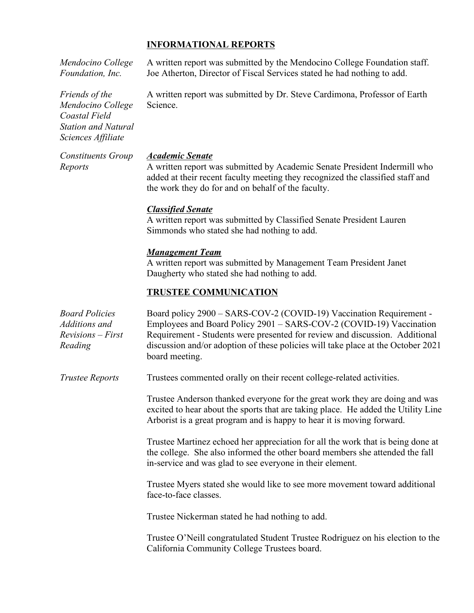## **INFORMATIONAL REPORTS**

*Mendocino College Foundation, Inc.*

A written report was submitted by the Mendocino College Foundation staff. Joe Atherton, Director of Fiscal Services stated he had nothing to add.

A written report was submitted by Dr. Steve Cardimona, Professor of Earth Science.

*Academic Senate*

A written report was submitted by Academic Senate President Indermill who added at their recent faculty meeting they recognized the classified staff and the work they do for and on behalf of the faculty.

### *Classified Senate*

A written report was submitted by Classified Senate President Lauren Simmonds who stated she had nothing to add.

#### *Management Team*

A written report was submitted by Management Team President Janet Daugherty who stated she had nothing to add.

#### **TRUSTEE COMMUNICATION**

| <b>Board Policies</b><br>Additions and<br>$Revisions - First$<br>Reading                            | Board policy 2900 - SARS-COV-2 (COVID-19) Vaccination Requirement -<br>Employees and Board Policy 2901 – SARS-COV-2 (COVID-19) Vaccination<br>Requirement - Students were presented for review and discussion. Additional<br>discussion and/or adoption of these policies will take place at the October 2021<br>board meeting. |  |  |  |
|-----------------------------------------------------------------------------------------------------|---------------------------------------------------------------------------------------------------------------------------------------------------------------------------------------------------------------------------------------------------------------------------------------------------------------------------------|--|--|--|
| Trustee Reports                                                                                     | Trustees commented orally on their recent college-related activities.                                                                                                                                                                                                                                                           |  |  |  |
|                                                                                                     | Trustee Anderson thanked everyone for the great work they are doing and was<br>excited to hear about the sports that are taking place. He added the Utility Line<br>Arborist is a great program and is happy to hear it is moving forward.                                                                                      |  |  |  |
|                                                                                                     | Trustee Martinez echoed her appreciation for all the work that is being done at<br>the college. She also informed the other board members she attended the fall<br>in-service and was glad to see everyone in their element.                                                                                                    |  |  |  |
| Trustee Myers stated she would like to see more movement toward additional<br>face-to-face classes. |                                                                                                                                                                                                                                                                                                                                 |  |  |  |
|                                                                                                     | Trustee Nickerman stated he had nothing to add.                                                                                                                                                                                                                                                                                 |  |  |  |
|                                                                                                     | Trustee O'Neill congratulated Student Trustee Rodriguez on his election to the<br>California Community College Trustees board.                                                                                                                                                                                                  |  |  |  |

*Friends of the Mendocino College Coastal Field Station and Natural Sciences Affiliate*

*Constituents Group Reports*